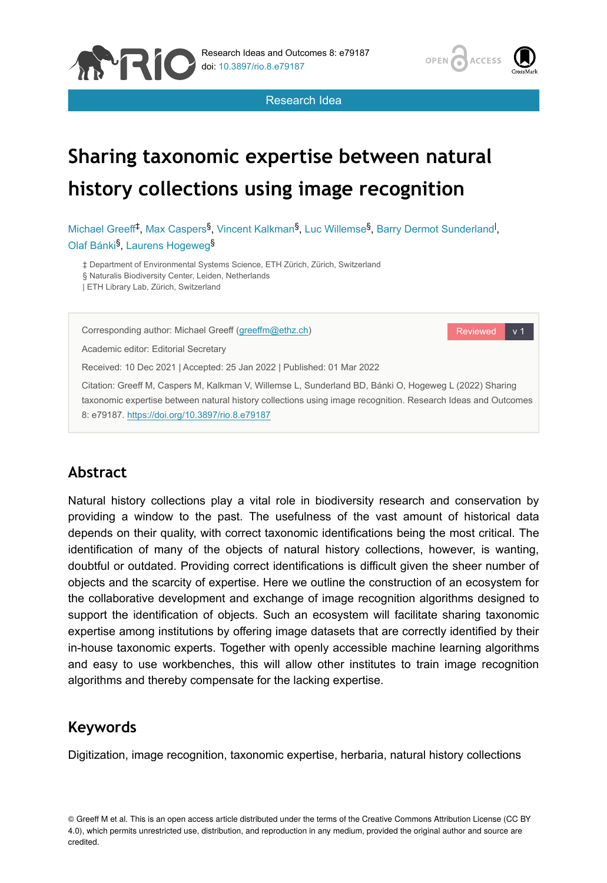





# **Sharing taxonomic expertise between natural history collections using image recognition**

Michael Greeff<sup>‡</sup>, Max Caspers<sup>§</sup>, Vincent Kalkman<sup>§</sup>, Luc Willemse<sup>§</sup>, Barry Dermot Sunderland<sup>1</sup>, Olaf Bánki<sup>§</sup>, Laurens Hogeweg<sup>§</sup>

‡ Department of Environmental Systems Science, ETH Zürich, Zürich, Switzerland § Naturalis Biodiversity Center, Leiden, Netherlands

| ETH Library Lab, Zürich, Switzerland

Corresponding author: Michael Greeff [\(greeffm@ethz.ch](mailto:greeffm@ethz.ch))

Reviewed v 1

Academic editor: Editorial Secretary

Received: 10 Dec 2021 | Accepted: 25 Jan 2022 | Published: 01 Mar 2022

Citation: Greeff M, Caspers M, Kalkman V, Willemse L, Sunderland BD, Bánki O, Hogeweg L (2022) Sharing taxonomic expertise between natural history collections using image recognition. Research Ideas and Outcomes 8: e79187. <https://doi.org/10.3897/rio.8.e79187>

# **Abstract**

Natural history collections play a vital role in biodiversity research and conservation by providing a window to the past. The usefulness of the vast amount of historical data depends on their quality, with correct taxonomic identifications being the most critical. The identification of many of the objects of natural history collections, however, is wanting, doubtful or outdated. Providing correct identifications is difficult given the sheer number of objects and the scarcity of expertise. Here we outline the construction of an ecosystem for the collaborative development and exchange of image recognition algorithms designed to support the identification of objects. Such an ecosystem will facilitate sharing taxonomic expertise among institutions by offering image datasets that are correctly identified by their in-house taxonomic experts. Together with openly accessible machine learning algorithms and easy to use workbenches, this will allow other institutes to train image recognition algorithms and thereby compensate for the lacking expertise.

# **Keywords**

Digitization, image recognition, taxonomic expertise, herbaria, natural history collections

© Greeff M et al. This is an open access article distributed under the terms of the Creative Commons Attribution License (CC BY 4.0), which permits unrestricted use, distribution, and reproduction in any medium, provided the original author and source are credited.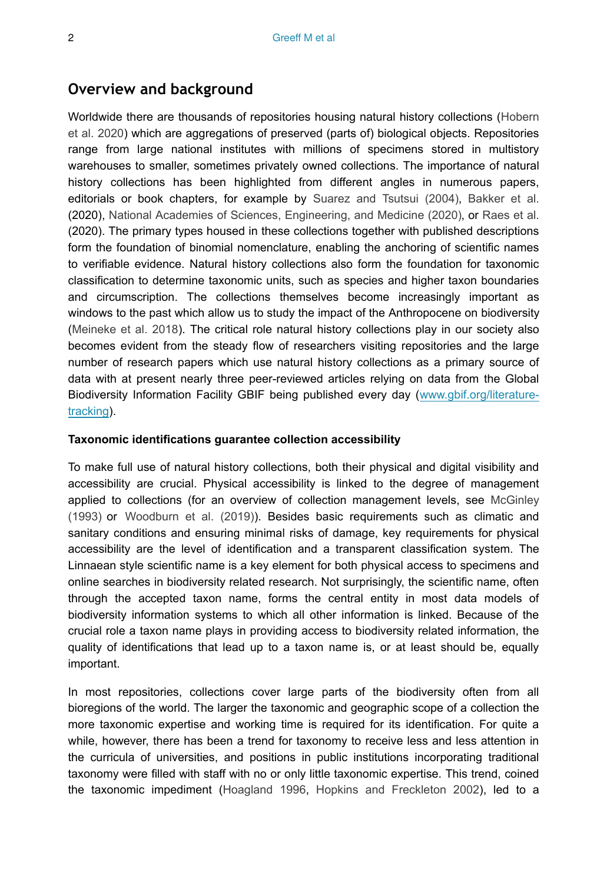## **Overview and background**

Worldwide there are thousands of repositories housing natural history collections ([Hobern](#page-16-0) [et al. 2020](#page-16-0)) which are aggregations of preserved (parts of) biological objects. Repositories range from large national institutes with millions of specimens stored in multistory warehouses to smaller, sometimes privately owned collections. The importance of natural history collections has been highlighted from different angles in numerous papers, editorials or book chapters, for example by [Suarez and Tsutsui \(2004\)](#page-18-0), [Bakker et al.](#page-14-0) (2020), [National Academies of Sciences, Engineering, and Medicine \(2020\)](#page-17-0), or [Raes et al.](#page-18-1) (2020). The primary types housed in these collections together with published descriptions form the foundation of binomial nomenclature, enabling the anchoring of scientific names to verifiable evidence. Natural history collections also form the foundation for taxonomic classification to determine taxonomic units, such as species and higher taxon boundaries and circumscription. The collections themselves become increasingly important as windows to the past which allow us to study the impact of the Anthropocene on biodiversity [\(Meineke et al. 2018](#page-17-1)). The critical role natural history collections play in our society also becomes evident from the steady flow of researchers visiting repositories and the large number of research papers which use natural history collections as a primary source of data with at present nearly three peer-reviewed articles relying on data from the Global Biodiversity Information Facility GBIF being published every day [\(www.gbif.org/literature](http://www.gbif.org/literature-tracking)[tracking\)](http://www.gbif.org/literature-tracking).

## **Taxonomic identifications guarantee collection accessibility**

To make full use of natural history collections, both their physical and digital visibility and accessibility are crucial. Physical accessibility is linked to the degree of management applied to collections (for an overview of collection management levels, see [McGinley](#page-17-2) [\(1993\)](#page-17-2) or [Woodburn et al. \(2019\)\)](#page-19-0). Besides basic requirements such as climatic and sanitary conditions and ensuring minimal risks of damage, key requirements for physical accessibility are the level of identification and a transparent classification system. The Linnaean style scientific name is a key element for both physical access to specimens and online searches in biodiversity related research. Not surprisingly, the scientific name, often through the accepted taxon name, forms the central entity in most data models of biodiversity information systems to which all other information is linked. Because of the crucial role a taxon name plays in providing access to biodiversity related information, the quality of identifications that lead up to a taxon name is, or at least should be, equally important.

In most repositories, collections cover large parts of the biodiversity often from all bioregions of the world. The larger the taxonomic and geographic scope of a collection the more taxonomic expertise and working time is required for its identification. For quite a while, however, there has been a trend for taxonomy to receive less and less attention in the curricula of universities, and positions in public institutions incorporating traditional taxonomy were filled with staff with no or only little taxonomic expertise. This trend, coined the taxonomic impediment ([Hoagland 1996,](#page-16-1) [Hopkins and Freckleton 2002](#page-16-2)), led to a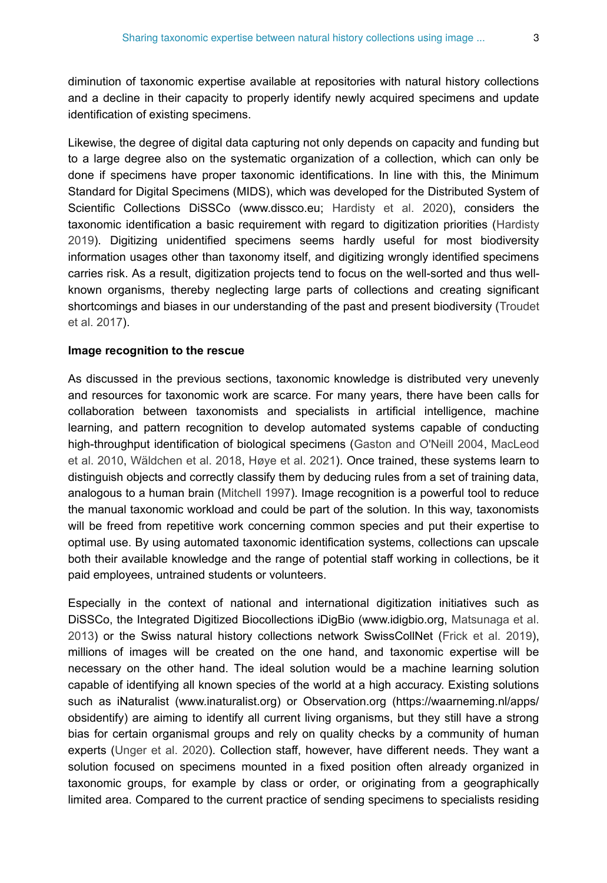diminution of taxonomic expertise available at repositories with natural history collections and a decline in their capacity to properly identify newly acquired specimens and update identification of existing specimens.

Likewise, the degree of digital data capturing not only depends on capacity and funding but to a large degree also on the systematic organization of a collection, which can only be done if specimens have proper taxonomic identifications. In line with this, the Minimum Standard for Digital Specimens (MIDS), which was developed for the Distributed System of Scientific Collections DiSSCo (www.dissco.eu; [Hardisty et al. 2020\)](#page-16-3), considers the taxonomic identification a basic requirement with regard to digitization priorities [\(Hardisty](#page-16-4) [2019](#page-16-4)). Digitizing unidentified specimens seems hardly useful for most biodiversity information usages other than taxonomy itself, and digitizing wrongly identified specimens carries risk. As a result, digitization projects tend to focus on the well-sorted and thus wellknown organisms, thereby neglecting large parts of collections and creating significant shortcomings and biases in our understanding of the past and present biodiversity ([Troudet](#page-19-1) [et al. 2017](#page-19-1)).

#### **Image recognition to the rescue**

As discussed in the previous sections, taxonomic knowledge is distributed very unevenly and resources for taxonomic work are scarce. For many years, there have been calls for collaboration between taxonomists and specialists in artificial intelligence, machine learning, and pattern recognition to develop automated systems capable of conducting high-throughput identification of biological specimens ([Gaston and O'Neill 2004,](#page-15-0) [MacLeod](#page-17-3) [et al. 2010](#page-17-3), [Wäldchen et al. 2018](#page-19-2), [Høye et al. 2021\)](#page-16-5). Once trained, these systems learn to distinguish objects and correctly classify them by deducing rules from a set of training data, analogous to a human brain ([Mitchell 1997\)](#page-17-4). Image recognition is a powerful tool to reduce the manual taxonomic workload and could be part of the solution. In this way, taxonomists will be freed from repetitive work concerning common species and put their expertise to optimal use. By using automated taxonomic identification systems, collections can upscale both their available knowledge and the range of potential staff working in collections, be it paid employees, untrained students or volunteers.

Especially in the context of national and international digitization initiatives such as DiSSCo, the Integrated Digitized Biocollections iDigBio (www.idigbio.org, [Matsunaga et al.](#page-17-5) [2013](#page-17-5)) or the Swiss natural history collections network SwissCollNet ([Frick et al. 2019\)](#page-15-1), millions of images will be created on the one hand, and taxonomic expertise will be necessary on the other hand. The ideal solution would be a machine learning solution capable of identifying all known species of the world at a high accuracy. Existing solutions such as iNaturalist (www.inaturalist.org) or Observation.org (https://waarneming.nl/apps/ obsidentify) are aiming to identify all current living organisms, but they still have a strong bias for certain organismal groups and rely on quality checks by a community of human experts [\(Unger et al. 2020\)](#page-19-3). Collection staff, however, have different needs. They want a solution focused on specimens mounted in a fixed position often already organized in taxonomic groups, for example by class or order, or originating from a geographically limited area. Compared to the current practice of sending specimens to specialists residing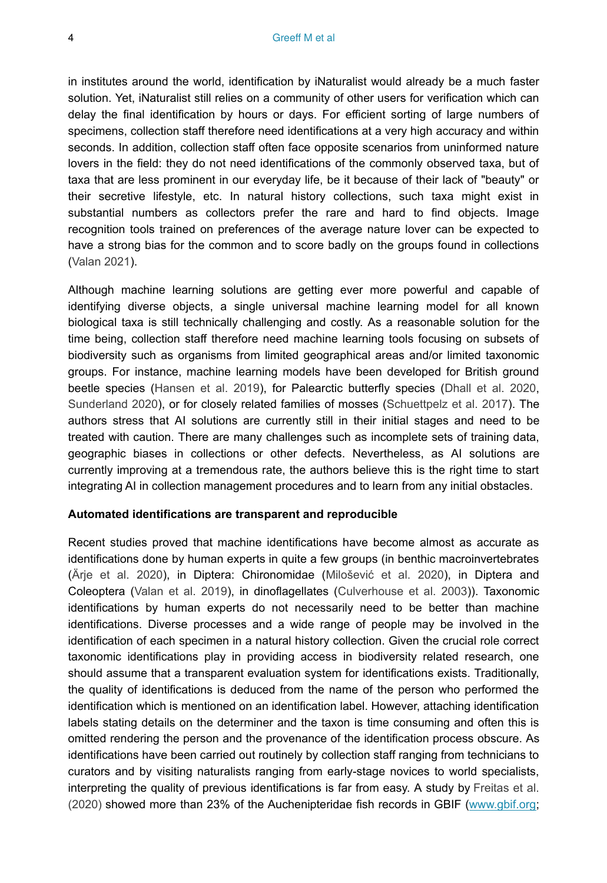in institutes around the world, identification by iNaturalist would already be a much faster solution. Yet, iNaturalist still relies on a community of other users for verification which can delay the final identification by hours or days. For efficient sorting of large numbers of specimens, collection staff therefore need identifications at a very high accuracy and within seconds. In addition, collection staff often face opposite scenarios from uninformed nature lovers in the field: they do not need identifications of the commonly observed taxa, but of taxa that are less prominent in our everyday life, be it because of their lack of "beauty" or their secretive lifestyle, etc. In natural history collections, such taxa might exist in substantial numbers as collectors prefer the rare and hard to find objects. Image recognition tools trained on preferences of the average nature lover can be expected to have a strong bias for the common and to score badly on the groups found in collections [\(Valan 2021](#page-19-4)).

Although machine learning solutions are getting ever more powerful and capable of identifying diverse objects, a single universal machine learning model for all known biological taxa is still technically challenging and costly. As a reasonable solution for the time being, collection staff therefore need machine learning tools focusing on subsets of biodiversity such as organisms from limited geographical areas and/or limited taxonomic groups. For instance, machine learning models have been developed for British ground beetle species [\(Hansen et al. 2019\)](#page-16-6), for Palearctic butterfly species [\(Dhall et al. 2020,](#page-15-2) [Sunderland 2020\)](#page-18-2), or for closely related families of mosses ([Schuettpelz et al. 2017](#page-18-3)). The authors stress that AI solutions are currently still in their initial stages and need to be treated with caution. There are many challenges such as incomplete sets of training data, geographic biases in collections or other defects. Nevertheless, as AI solutions are currently improving at a tremendous rate, the authors believe this is the right time to start integrating AI in collection management procedures and to learn from any initial obstacles.

## **Automated identifications are transparent and reproducible**

Recent studies proved that machine identifications have become almost as accurate as identifications done by human experts in quite a few groups (in benthic macroinvertebrates [\(Ärje et al. 2020](#page-14-1)), in Diptera: Chironomidae (Milošević [et al. 2020\)](#page-17-6), in Diptera and Coleoptera ([Valan et al. 2019](#page-19-5)), in dinoflagellates [\(Culverhouse et al. 2003\)](#page-15-3)). Taxonomic identifications by human experts do not necessarily need to be better than machine identifications. Diverse processes and a wide range of people may be involved in the identification of each specimen in a natural history collection. Given the crucial role correct taxonomic identifications play in providing access in biodiversity related research, one should assume that a transparent evaluation system for identifications exists. Traditionally, the quality of identifications is deduced from the name of the person who performed the identification which is mentioned on an identification label. However, attaching identification labels stating details on the determiner and the taxon is time consuming and often this is omitted rendering the person and the provenance of the identification process obscure. As identifications have been carried out routinely by collection staff ranging from technicians to curators and by visiting naturalists ranging from early-stage novices to world specialists, interpreting the quality of previous identifications is far from easy. A study by [Freitas et al.](#page-15-4) [\(2020\)](#page-15-4) showed more than 23% of the Auchenipteridae fish records in GBIF [\(www.gbif.org;](http://www.gbif.org)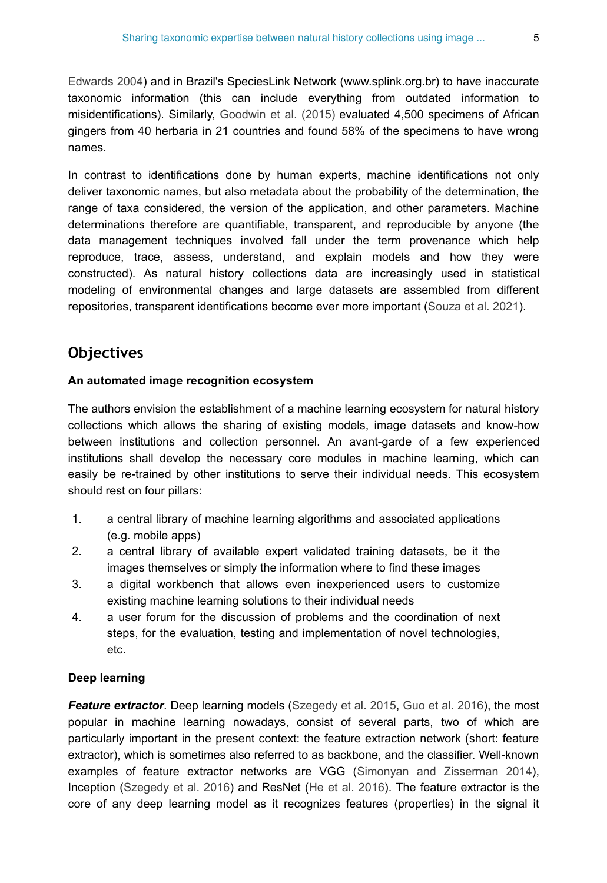[Edwards 2004](#page-15-5)) and in Brazil's SpeciesLink Network (www.splink.org.br) to have inaccurate taxonomic information (this can include everything from outdated information to misidentifications). Similarly, [Goodwin et al. \(2015\)](#page-16-7) evaluated 4,500 specimens of African gingers from 40 herbaria in 21 countries and found 58% of the specimens to have wrong names.

In contrast to identifications done by human experts, machine identifications not only deliver taxonomic names, but also metadata about the probability of the determination, the range of taxa considered, the version of the application, and other parameters. Machine determinations therefore are quantifiable, transparent, and reproducible by anyone (the data management techniques involved fall under the term provenance which help reproduce, trace, assess, understand, and explain models and how they were constructed). As natural history collections data are increasingly used in statistical modeling of environmental changes and large datasets are assembled from different repositories, transparent identifications become ever more important ([Souza et al. 2021\)](#page-18-4).

# **Objectives**

## **An automated image recognition ecosystem**

The authors envision the establishment of a machine learning ecosystem for natural history collections which allows the sharing of existing models, image datasets and know-how between institutions and collection personnel. An avant-garde of a few experienced institutions shall develop the necessary core modules in machine learning, which can easily be re-trained by other institutions to serve their individual needs. This ecosystem should rest on four pillars:

- 1. a central library of machine learning algorithms and associated applications (e.g. mobile apps)
- 2. a central library of available expert validated training datasets, be it the images themselves or simply the information where to find these images
- 3. a digital workbench that allows even inexperienced users to customize existing machine learning solutions to their individual needs
- 4. a user forum for the discussion of problems and the coordination of next steps, for the evaluation, testing and implementation of novel technologies, etc.

## **Deep learning**

**Feature extractor**. Deep learning models ([Szegedy et al. 2015](#page-18-5), [Guo et al. 2016](#page-16-8)), the most popular in machine learning nowadays, consist of several parts, two of which are particularly important in the present context: the feature extraction network (short: feature extractor), which is sometimes also referred to as backbone, and the classifier. Well-known examples of feature extractor networks are VGG ([Simonyan and Zisserman 2014\)](#page-18-6), Inception [\(Szegedy et al. 2016](#page-18-7)) and ResNet ([He et al. 2016](#page-16-9)). The feature extractor is the core of any deep learning model as it recognizes features (properties) in the signal it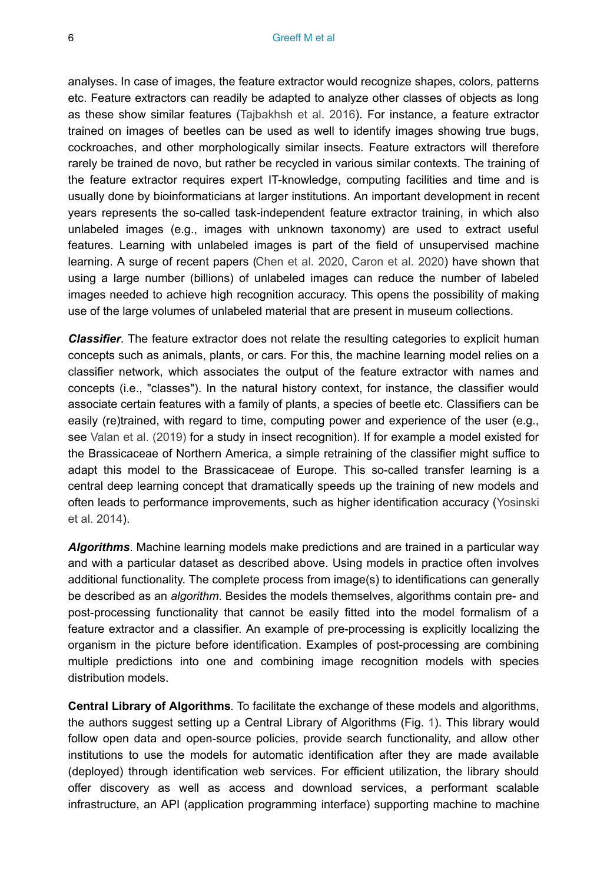analyses. In case of images, the feature extractor would recognize shapes, colors, patterns etc. Feature extractors can readily be adapted to analyze other classes of objects as long as these show similar features ([Tajbakhsh et al. 2016\)](#page-18-8). For instance, a feature extractor trained on images of beetles can be used as well to identify images showing true bugs, cockroaches, and other morphologically similar insects. Feature extractors will therefore rarely be trained de novo, but rather be recycled in various similar contexts. The training of the feature extractor requires expert IT-knowledge, computing facilities and time and is usually done by bioinformaticians at larger institutions. An important development in recent years represents the so-called task-independent feature extractor training, in which also unlabeled images (e.g., images with unknown taxonomy) are used to extract useful features. Learning with unlabeled images is part of the field of unsupervised machine learning. A surge of recent papers [\(Chen et al. 2020](#page-15-6), [Caron et al. 2020](#page-15-7)) have shown that using a large number (billions) of unlabeled images can reduce the number of labeled images needed to achieve high recognition accuracy. This opens the possibility of making use of the large volumes of unlabeled material that are present in museum collections.

*Classifier*. The feature extractor does not relate the resulting categories to explicit human concepts such as animals, plants, or cars. For this, the machine learning model relies on a classifier network, which associates the output of the feature extractor with names and concepts (i.e., "classes"). In the natural history context, for instance, the classifier would associate certain features with a family of plants, a species of beetle etc. Classifiers can be easily (re)trained, with regard to time, computing power and experience of the user (e.g., see [Valan et al. \(2019\)](#page-19-5) for a study in insect recognition). If for example a model existed for the Brassicaceae of Northern America, a simple retraining of the classifier might suffice to adapt this model to the Brassicaceae of Europe. This so-called transfer learning is a central deep learning concept that dramatically speeds up the training of new models and often leads to performance improvements, such as higher identification accuracy ([Yosinski](#page-19-6) [et al. 2014](#page-19-6)).

*Algorithms*. Machine learning models make predictions and are trained in a particular way and with a particular dataset as described above. Using models in practice often involves additional functionality. The complete process from image(s) to identifications can generally be described as an *algorithm*. Besides the models themselves, algorithms contain pre- and post-processing functionality that cannot be easily fitted into the model formalism of a feature extractor and a classifier. An example of pre-processing is explicitly localizing the organism in the picture before identification. Examples of post-processing are combining multiple predictions into one and combining image recognition models with species distribution models.

**Central Library of Algorithms**. To facilitate the exchange of these models and algorithms, the authors suggest setting up a Central Library of Algorithms (Fig. [1\)](#page-6-0). This library would follow open data and open-source policies, provide search functionality, and allow other institutions to use the models for automatic identification after they are made available (deployed) through identification web services. For efficient utilization, the library should offer discovery as well as access and download services, a performant scalable infrastructure, an API (application programming interface) supporting machine to machine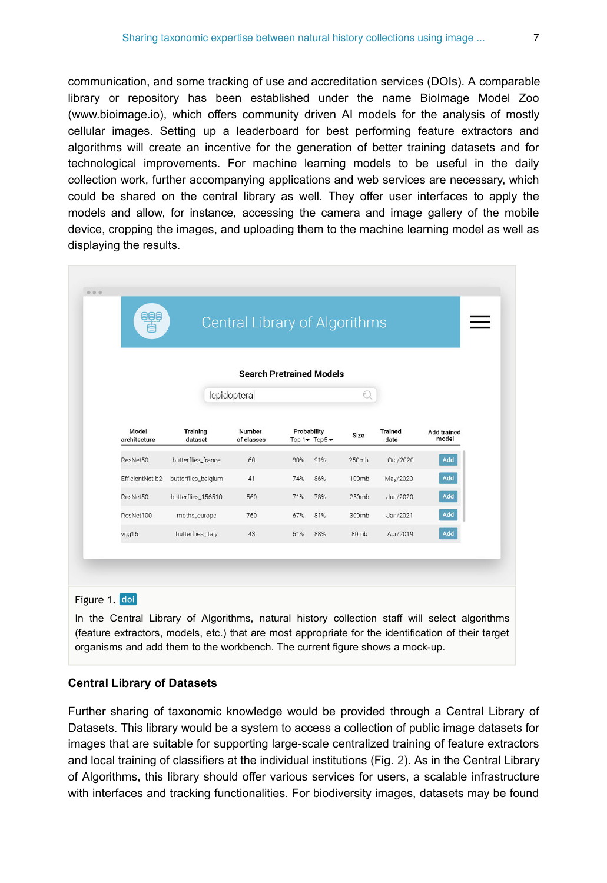communication, and some tracking of use and accreditation services (DOIs). A comparable library or repository has been established under the name BioImage Model Zoo (www.bioimage.io), which offers community driven AI models for the analysis of mostly cellular images. Setting up a leaderboard for best performing feature extractors and algorithms will create an incentive for the generation of better training datasets and for technological improvements. For machine learning models to be useful in the daily collection work, further accompanying applications and web services are necessary, which could be shared on the central library as well. They offer user interfaces to apply the models and allow, for instance, accessing the camera and image gallery of the mobile device, cropping the images, and uploading them to the machine learning model as well as displaying the results.

<span id="page-6-0"></span>

| <u>eas</u>            |                     | <b>Central Library of Algorithms</b> |                                    |     |                                                          |                        |                      |
|-----------------------|---------------------|--------------------------------------|------------------------------------|-----|----------------------------------------------------------|------------------------|----------------------|
|                       |                     | <b>Search Pretrained Models</b>      |                                    |     |                                                          |                        |                      |
|                       |                     | lepidoptera                          |                                    |     | $\left(\begin{matrix} \cdot & \cdot \end{matrix}\right)$ |                        |                      |
| Model<br>architecture | Training<br>dataset | Number<br>of classes                 | Probability<br>Top $1 -$ Top $5 -$ |     | Size                                                     | <b>Trained</b><br>date | Add trained<br>model |
| ResNet50              | butterflies_france  | 60                                   | 80%                                | 91% | 250mb                                                    | Oct/2020               | Add                  |
| EfficientNet-b2       | butterflies_belgium | 41                                   | 74%                                | 86% | 100mb                                                    | May/2020               | Add                  |
| ResNet50              | butterflies_156510  | 560                                  | 71%                                | 78% | 250mb                                                    | Jun/2020               | Add                  |
| ResNet100             | moths_europe        | 760                                  | 67%                                | 81% | 300mb                                                    | Jan/2021               | Add                  |
| vgg16                 | butterflies_italy   | 43                                   | 61%                                | 88% | 80 <sub>mb</sub>                                         | Apr/2019               | Add                  |

## Figure 1. doi

In the Central Library of Algorithms, natural history collection staff will select algorithms (feature extractors, models, etc.) that are most appropriate for the identification of their target organisms and add them to the workbench. The current figure shows a mock-up.

#### **Central Library of Datasets**

Further sharing of taxonomic knowledge would be provided through a Central Library of Datasets. This library would be a system to access a collection of public image datasets for images that are suitable for supporting large-scale centralized training of feature extractors and local training of classifiers at the individual institutions (Fig. [2](#page-7-0)). As in the Central Library of Algorithms, this library should offer various services for users, a scalable infrastructure with interfaces and tracking functionalities. For biodiversity images, datasets may be found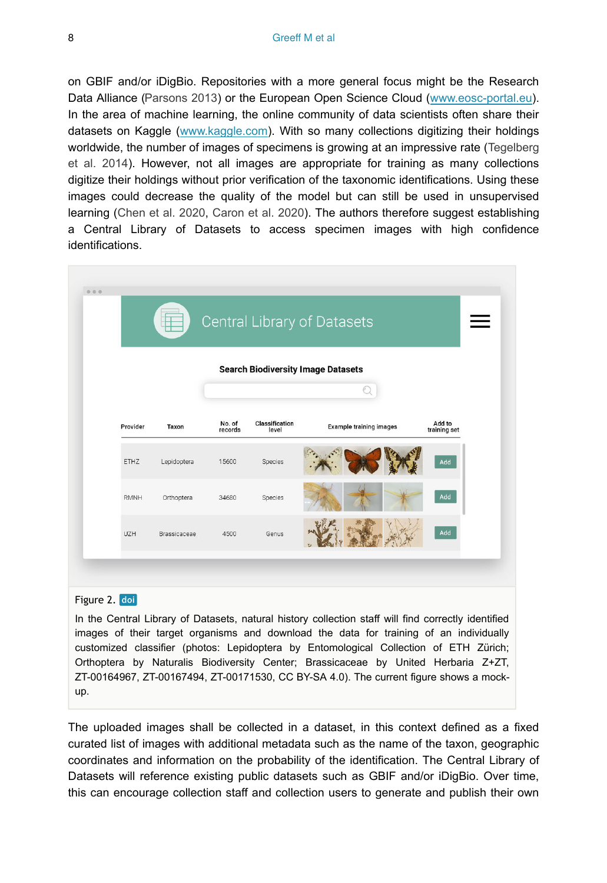on GBIF and/or iDigBio. Repositories with a more general focus might be the Research Data Alliance [\(Parsons 2013](#page-18-9)) or the European Open Science Cloud [\(www.eosc-portal.eu\)](http://www.eosc-portal.eu). In the area of machine learning, the online community of data scientists often share their datasets on Kaggle ([www.kaggle.com](http://www.kaggle.com)). With so many collections digitizing their holdings worldwide, the number of images of specimens is growing at an impressive rate ([Tegelberg](#page-19-7) [et al. 2014\)](#page-19-7). However, not all images are appropriate for training as many collections digitize their holdings without prior verification of the taxonomic identifications. Using these images could decrease the quality of the model but can still be used in unsupervised learning [\(Chen et al. 2020](#page-15-6), [Caron et al. 2020](#page-15-7)). The authors therefore suggest establishing a Central Library of Datasets to access specimen images with high confidence identifications.

<span id="page-7-0"></span>

#### Figure 2. doi

In the Central Library of Datasets, natural history collection staff will find correctly identified images of their target organisms and download the data for training of an individually customized classifier (photos: Lepidoptera by Entomological Collection of ETH Zürich; Orthoptera by Naturalis Biodiversity Center; Brassicaceae by United Herbaria Z+ZT, ZT-00164967, ZT-00167494, ZT-00171530, CC BY-SA 4.0). The current figure shows a mockup.

The uploaded images shall be collected in a dataset, in this context defined as a fixed curated list of images with additional metadata such as the name of the taxon, geographic coordinates and information on the probability of the identification. The Central Library of Datasets will reference existing public datasets such as GBIF and/or iDigBio. Over time, this can encourage collection staff and collection users to generate and publish their own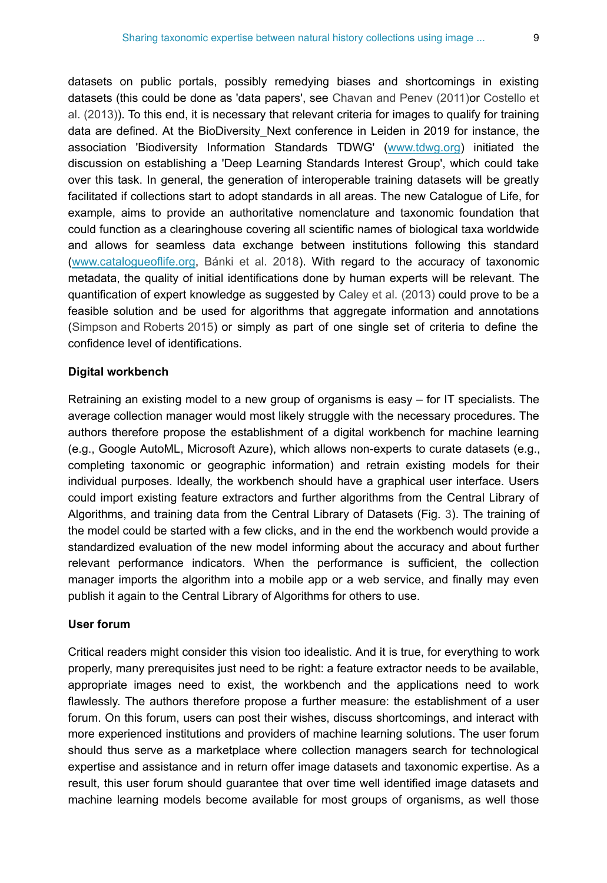datasets on public portals, possibly remedying biases and shortcomings in existing datasets (this could be done as 'data papers', see [Chavan and Penev \(2011\)](#page-15-8)or [Costello et](#page-15-9) [al. \(2013\)\)](#page-15-9). To this end, it is necessary that relevant criteria for images to qualify for training data are defined. At the BioDiversity Next conference in Leiden in 2019 for instance, the association 'Biodiversity Information Standards TDWG' ([www.tdwg.org\)](http://www.tdwg.org) initiated the discussion on establishing a 'Deep Learning Standards Interest Group', which could take over this task. In general, the generation of interoperable training datasets will be greatly facilitated if collections start to adopt standards in all areas. The new Catalogue of Life, for example, aims to provide an authoritative nomenclature and taxonomic foundation that could function as a clearinghouse covering all scientific names of biological taxa worldwide and allows for seamless data exchange between institutions following this standard [\(www.catalogueoflife.org](http://www.catalogueoflife.org), [Bánki et al. 2018](#page-15-10)). With regard to the accuracy of taxonomic metadata, the quality of initial identifications done by human experts will be relevant. The quantification of expert knowledge as suggested by [Caley et al. \(2013\)](#page-15-11) could prove to be a feasible solution and be used for algorithms that aggregate information and annotations [\(Simpson and Roberts 2015\)](#page-18-10) or simply as part of one single set of criteria to define the confidence level of identifications.

## **Digital workbench**

Retraining an existing model to a new group of organisms is easy – for IT specialists. The average collection manager would most likely struggle with the necessary procedures. The authors therefore propose the establishment of a digital workbench for machine learning (e.g., Google AutoML, Microsoft Azure), which allows non-experts to curate datasets (e.g., completing taxonomic or geographic information) and retrain existing models for their individual purposes. Ideally, the workbench should have a graphical user interface. Users could import existing feature extractors and further algorithms from the Central Library of Algorithms, and training data from the Central Library of Datasets (Fig. [3\)](#page-9-0). The training of the model could be started with a few clicks, and in the end the workbench would provide a standardized evaluation of the new model informing about the accuracy and about further relevant performance indicators. When the performance is sufficient, the collection manager imports the algorithm into a mobile app or a web service, and finally may even publish it again to the Central Library of Algorithms for others to use.

## **User forum**

Critical readers might consider this vision too idealistic. And it is true, for everything to work properly, many prerequisites just need to be right: a feature extractor needs to be available, appropriate images need to exist, the workbench and the applications need to work flawlessly. The authors therefore propose a further measure: the establishment of a user forum. On this forum, users can post their wishes, discuss shortcomings, and interact with more experienced institutions and providers of machine learning solutions. The user forum should thus serve as a marketplace where collection managers search for technological expertise and assistance and in return offer image datasets and taxonomic expertise. As a result, this user forum should guarantee that over time well identified image datasets and machine learning models become available for most groups of organisms, as well those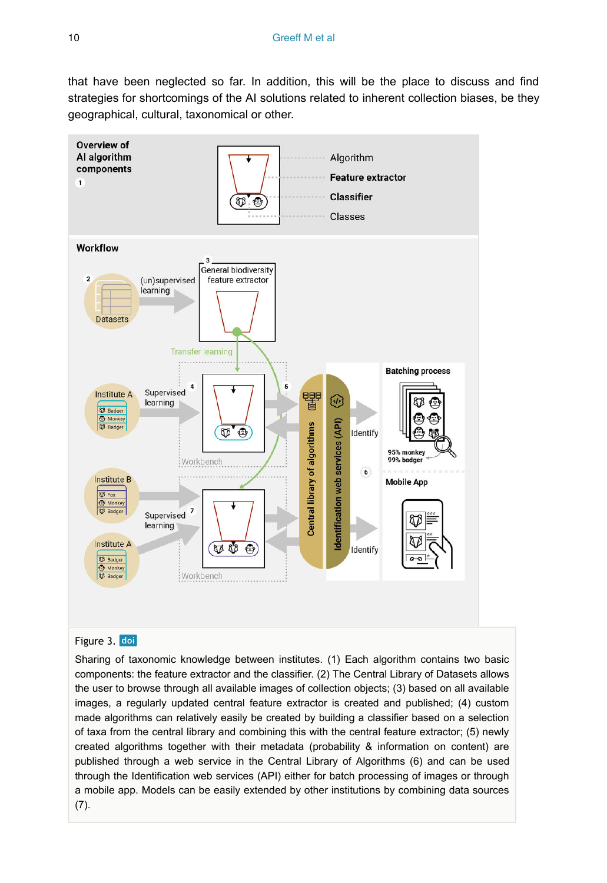that have been neglected so far. In addition, this will be the place to discuss and find strategies for shortcomings of the AI solutions related to inherent collection biases, be they geographical, cultural, taxonomical or other.

<span id="page-9-0"></span>

#### Figure 3. doi

Sharing of taxonomic knowledge between institutes. (1) Each algorithm contains two basic components: the feature extractor and the classifier. (2) The Central Library of Datasets allows the user to browse through all available images of collection objects; (3) based on all available images, a regularly updated central feature extractor is created and published; (4) custom made algorithms can relatively easily be created by building a classifier based on a selection of taxa from the central library and combining this with the central feature extractor; (5) newly created algorithms together with their metadata (probability & information on content) are published through a web service in the Central Library of Algorithms (6) and can be used through the Identification web services (API) either for batch processing of images or through a mobile app. Models can be easily extended by other institutions by combining data sources (7).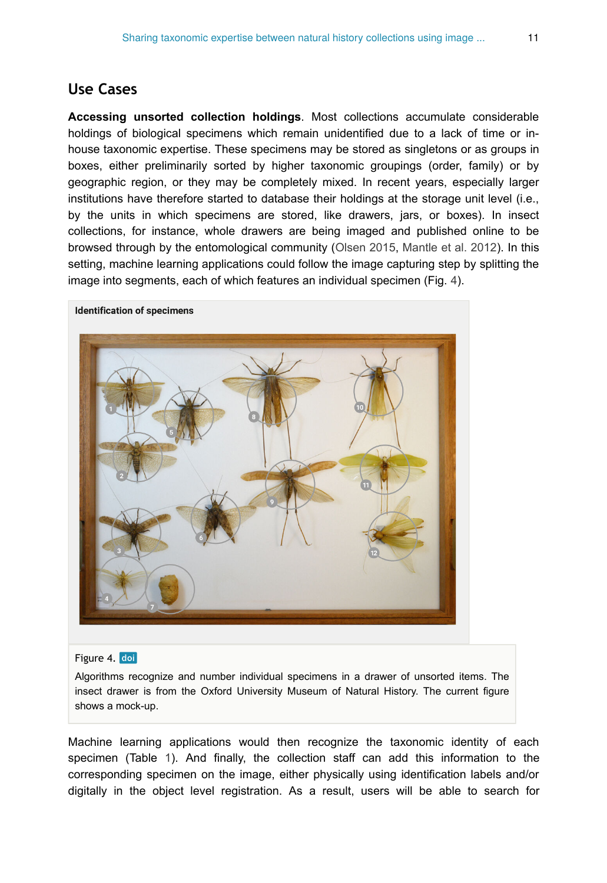# **Use Cases**

**Accessing unsorted collection holdings**. Most collections accumulate considerable holdings of biological specimens which remain unidentified due to a lack of time or inhouse taxonomic expertise. These specimens may be stored as singletons or as groups in boxes, either preliminarily sorted by higher taxonomic groupings (order, family) or by geographic region, or they may be completely mixed. In recent years, especially larger institutions have therefore started to database their holdings at the storage unit level (i.e., by the units in which specimens are stored, like drawers, jars, or boxes). In insect collections, for instance, whole drawers are being imaged and published online to be browsed through by the entomological community [\(Olsen 2015,](#page-18-11) [Mantle et al. 2012\)](#page-17-7). In this setting, machine learning applications could follow the image capturing step by splitting the image into segments, each of which features an individual specimen (Fig. [4](#page-10-0)).



#### <span id="page-10-0"></span>**Identification of specimens**

## Figure 4. doi

Algorithms recognize and number individual specimens in a drawer of unsorted items. The insect drawer is from the Oxford University Museum of Natural History. The current figure shows a mock-up.

Machine learning applications would then recognize the taxonomic identity of each specimen (Table [1\)](#page-11-0). And finally, the collection staff can add this information to the corresponding specimen on the image, either physically using identification labels and/or digitally in the object level registration. As a result, users will be able to search for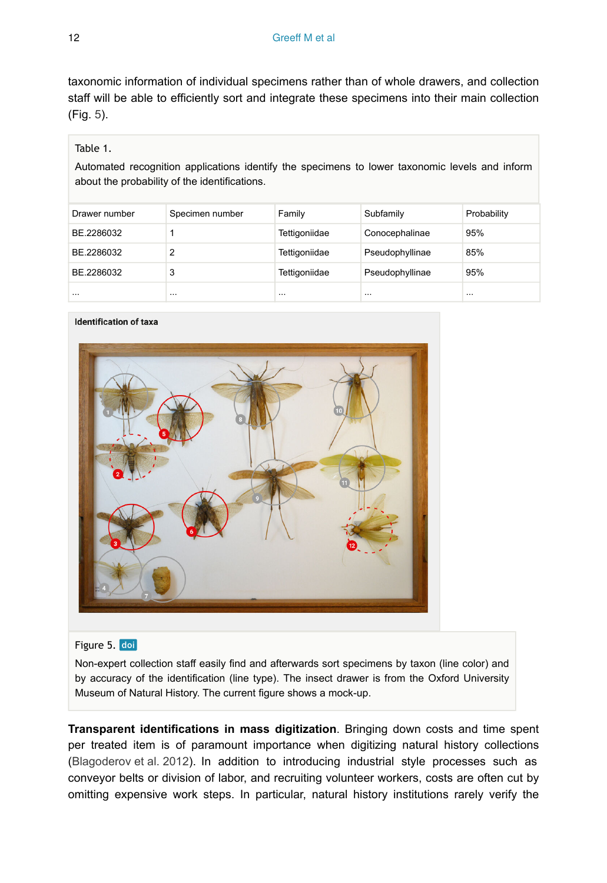taxonomic information of individual specimens rather than of whole drawers, and collection staff will be able to efficiently sort and integrate these specimens into their main collection (Fig. [5\)](#page-11-1).

## <span id="page-11-0"></span>Table 1.

Automated recognition applications identify the specimens to lower taxonomic levels and inform about the probability of the identifications.

| Drawer number | Specimen number | Family        | Subfamily       | Probability |
|---------------|-----------------|---------------|-----------------|-------------|
| BE.2286032    |                 | Tettigoniidae | Conocephalinae  | 95%         |
| BE.2286032    |                 | Tettigoniidae | Pseudophyllinae | 85%         |
| BE.2286032    | 3               | Tettigoniidae | Pseudophyllinae | 95%         |
| $\cdots$      | $\cdots$        | $\cdots$      |                 | $\cdots$    |

#### <span id="page-11-1"></span>**Identification of taxa**



## Figure 5. doi

Non-expert collection staff easily find and afterwards sort specimens by taxon (line color) and by accuracy of the identification (line type). The insect drawer is from the Oxford University Museum of Natural History. The current figure shows a mock-up.

**Transparent identifications in mass digitization**. Bringing down costs and time spent per treated item is of paramount importance when digitizing natural history collections [\(Blagoderov et al. 2012\)](#page-15-12). In addition to introducing industrial style processes such as conveyor belts or division of labor, and recruiting volunteer workers, costs are often cut by omitting expensive work steps. In particular, natural history institutions rarely verify the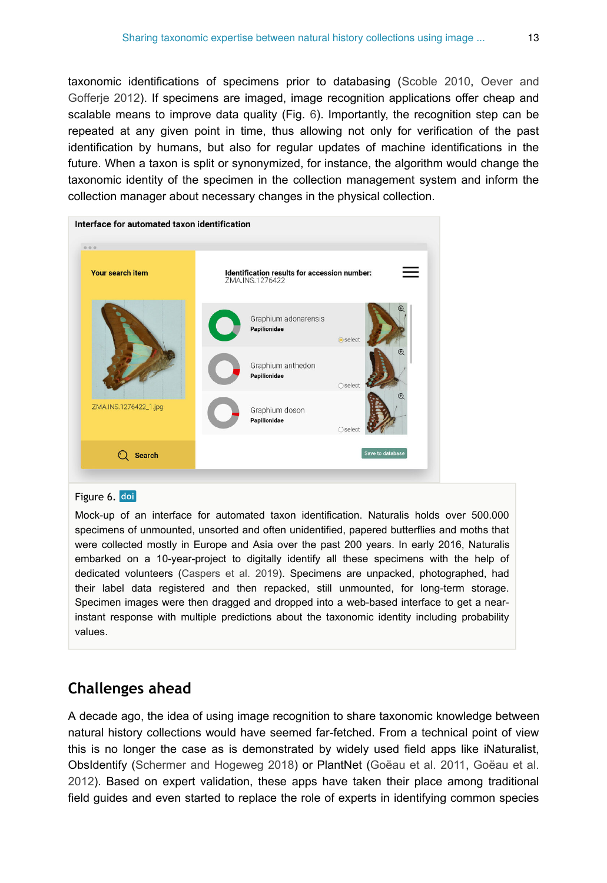taxonomic identifications of specimens prior to databasing [\(Scoble 2010](#page-18-12), [Oever and](#page-18-13) [Gofferje 2012\)](#page-18-13). If specimens are imaged, image recognition applications offer cheap and scalable means to improve data quality (Fig. [6\)](#page-12-0). Importantly, the recognition step can be repeated at any given point in time, thus allowing not only for verification of the past identification by humans, but also for regular updates of machine identifications in the future. When a taxon is split or synonymized, for instance, the algorithm would change the taxonomic identity of the specimen in the collection management system and inform the collection manager about necessary changes in the physical collection.

<span id="page-12-0"></span>

| Interface for automated taxon identification |                                                                        |                         |  |  |  |  |
|----------------------------------------------|------------------------------------------------------------------------|-------------------------|--|--|--|--|
| 000<br><b>Your search item</b>               | Identification results for accession number:<br>$=$<br>ZMA.INS.1276422 |                         |  |  |  |  |
|                                              | Graphium adonarensis<br>Papilionidae                                   | <b>O</b> select         |  |  |  |  |
|                                              | Graphium anthedon<br>Papilionidae                                      | $\bigcirc$ select       |  |  |  |  |
| ZMA.INS.1276422_1.jpg                        | Graphium doson<br>Papilionidae                                         | ○ select                |  |  |  |  |
| <b>Search</b>                                |                                                                        | <b>Save to database</b> |  |  |  |  |
|                                              |                                                                        |                         |  |  |  |  |

## Figure 6. doi

Mock-up of an interface for automated taxon identification. Naturalis holds over 500.000 specimens of unmounted, unsorted and often unidentified, papered butterflies and moths that were collected mostly in Europe and Asia over the past 200 years. In early 2016, Naturalis embarked on a 10-year-project to digitally identify all these specimens with the help of dedicated volunteers ([Caspers et al. 2019](#page-15-13)). Specimens are unpacked, photographed, had their label data registered and then repacked, still unmounted, for long-term storage. Specimen images were then dragged and dropped into a web-based interface to get a nearinstant response with multiple predictions about the taxonomic identity including probability values.

# **Challenges ahead**

A decade ago, the idea of using image recognition to share taxonomic knowledge between natural history collections would have seemed far-fetched. From a technical point of view this is no longer the case as is demonstrated by widely used field apps like iNaturalist, ObsIdentify [\(Schermer and Hogeweg 2018\)](#page-18-14) or PlantNet [\(Goëau et al. 2011,](#page-16-10) [Goëau et al.](#page-16-11) [2012](#page-16-11)). Based on expert validation, these apps have taken their place among traditional field guides and even started to replace the role of experts in identifying common species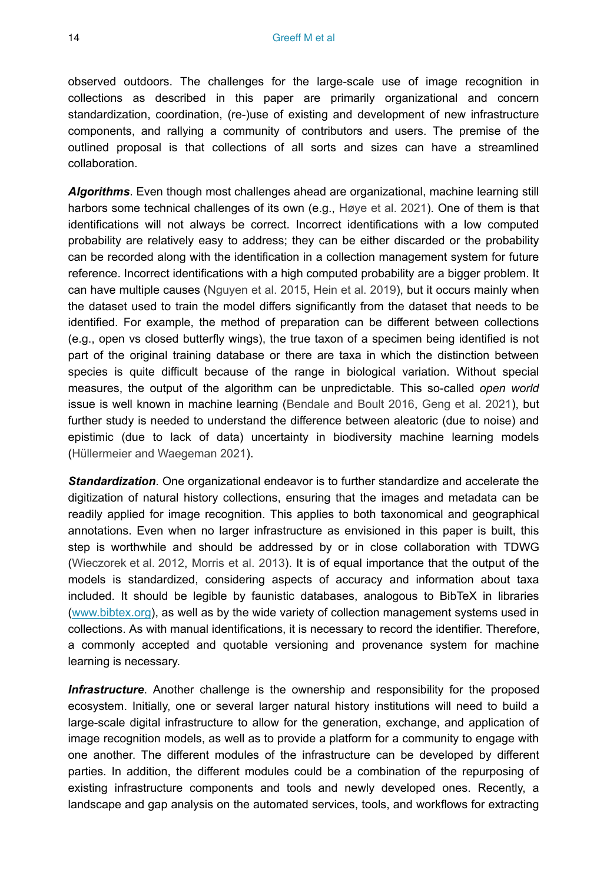observed outdoors. The challenges for the large-scale use of image recognition in collections as described in this paper are primarily organizational and concern standardization, coordination, (re-)use of existing and development of new infrastructure components, and rallying a community of contributors and users. The premise of the outlined proposal is that collections of all sorts and sizes can have a streamlined collaboration.

*Algorithms*. Even though most challenges ahead are organizational, machine learning still harbors some technical challenges of its own (e.g., [Høye et al. 2021\)](#page-16-5). One of them is that identifications will not always be correct. Incorrect identifications with a low computed probability are relatively easy to address; they can be either discarded or the probability can be recorded along with the identification in a collection management system for future reference. Incorrect identifications with a high computed probability are a bigger problem. It can have multiple causes ([Nguyen et al. 2015](#page-17-8), [Hein et al. 2019](#page-16-12)), but it occurs mainly when the dataset used to train the model differs significantly from the dataset that needs to be identified. For example, the method of preparation can be different between collections (e.g., open vs closed butterfly wings), the true taxon of a specimen being identified is not part of the original training database or there are taxa in which the distinction between species is quite difficult because of the range in biological variation. Without special measures, the output of the algorithm can be unpredictable. This so-called *open world* issue is well known in machine learning ([Bendale and Boult 2016](#page-15-14), [Geng et al. 2021\)](#page-16-13), but further study is needed to understand the difference between aleatoric (due to noise) and epistimic (due to lack of data) uncertainty in biodiversity machine learning models [\(Hüllermeier and Waegeman 2021\)](#page-17-9).

*Standardization*. One organizational endeavor is to further standardize and accelerate the digitization of natural history collections, ensuring that the images and metadata can be readily applied for image recognition. This applies to both taxonomical and geographical annotations. Even when no larger infrastructure as envisioned in this paper is built, this step is worthwhile and should be addressed by or in close collaboration with TDWG [\(Wieczorek et al. 2012,](#page-19-8) [Morris et al. 2013](#page-17-10)). It is of equal importance that the output of the models is standardized, considering aspects of accuracy and information about taxa included. It should be legible by faunistic databases, analogous to BibTeX in libraries [\(www.bibtex.org](http://www.bibtex.org)), as well as by the wide variety of collection management systems used in collections. As with manual identifications, it is necessary to record the identifier. Therefore, a commonly accepted and quotable versioning and provenance system for machine learning is necessary.

*Infrastructure*. Another challenge is the ownership and responsibility for the proposed ecosystem. Initially, one or several larger natural history institutions will need to build a large-scale digital infrastructure to allow for the generation, exchange, and application of image recognition models, as well as to provide a platform for a community to engage with one another. The different modules of the infrastructure can be developed by different parties. In addition, the different modules could be a combination of the repurposing of existing infrastructure components and tools and newly developed ones. Recently, a landscape and gap analysis on the automated services, tools, and workflows for extracting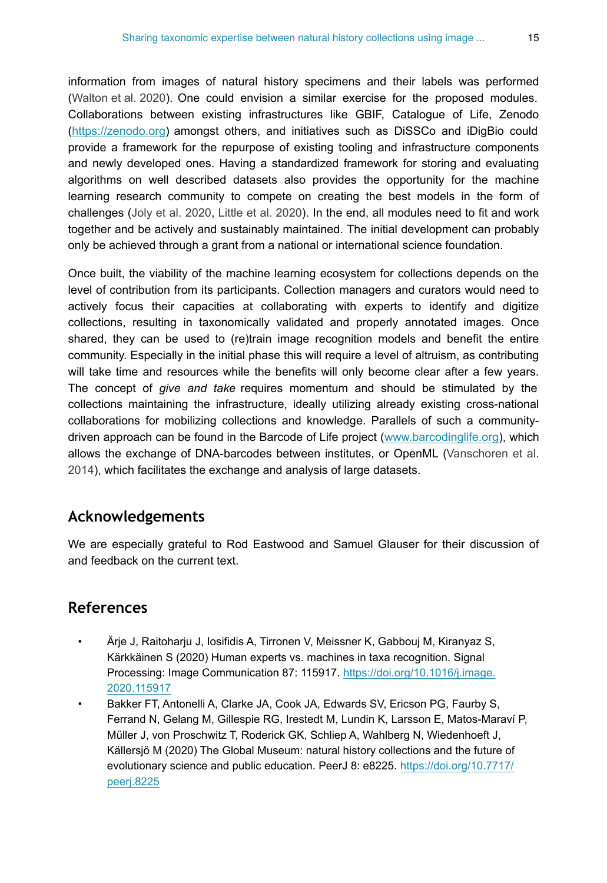information from images of natural history specimens and their labels was performed [\(Walton et al. 2020\)](#page-19-9). One could envision a similar exercise for the proposed modules. Collaborations between existing infrastructures like GBIF, Catalogue of Life, Zenodo [\(https://zenodo.org](https://zenodo.org)) amongst others, and initiatives such as DiSSCo and iDigBio could provide a framework for the repurpose of existing tooling and infrastructure components and newly developed ones. Having a standardized framework for storing and evaluating algorithms on well described datasets also provides the opportunity for the machine learning research community to compete on creating the best models in the form of challenges [\(Joly et al. 2020,](#page-17-11) [Little et al. 2020\)](#page-17-12). In the end, all modules need to fit and work together and be actively and sustainably maintained. The initial development can probably only be achieved through a grant from a national or international science foundation.

Once built, the viability of the machine learning ecosystem for collections depends on the level of contribution from its participants. Collection managers and curators would need to actively focus their capacities at collaborating with experts to identify and digitize collections, resulting in taxonomically validated and properly annotated images. Once shared, they can be used to (re)train image recognition models and benefit the entire community. Especially in the initial phase this will require a level of altruism, as contributing will take time and resources while the benefits will only become clear after a few years. The concept of *give and take* requires momentum and should be stimulated by the collections maintaining the infrastructure, ideally utilizing already existing cross-national collaborations for mobilizing collections and knowledge. Parallels of such a communitydriven approach can be found in the Barcode of Life project ([www.barcodinglife.org](http://www.barcodinglife.org)), which allows the exchange of DNA-barcodes between institutes, or OpenML [\(Vanschoren et al.](#page-19-10) [2014](#page-19-10)), which facilitates the exchange and analysis of large datasets.

# **Acknowledgements**

We are especially grateful to Rod Eastwood and Samuel Glauser for their discussion of and feedback on the current text.

# **References**

- <span id="page-14-1"></span>• Ärje J, Raitoharju J, Iosifidis A, Tirronen V, Meissner K, Gabbouj M, Kiranyaz S, Kärkkäinen S (2020) Human experts vs. machines in taxa recognition. Signal Processing: Image Communication 87: 115917. [https://doi.org/10.1016/j.image.](https://doi.org/10.1016/j.image.2020.115917) [2020.115917](https://doi.org/10.1016/j.image.2020.115917)
- <span id="page-14-0"></span>• Bakker FT, Antonelli A, Clarke JA, Cook JA, Edwards SV, Ericson PG, Faurby S, Ferrand N, Gelang M, Gillespie RG, Irestedt M, Lundin K, Larsson E, Matos-Maraví P, Müller J, von Proschwitz T, Roderick GK, Schliep A, Wahlberg N, Wiedenhoeft J, Källersjö M (2020) The Global Museum: natural history collections and the future of evolutionary science and public education. PeerJ 8: e8225. [https://doi.org/10.7717/](https://doi.org/10.7717/peerj.8225) [peerj.8225](https://doi.org/10.7717/peerj.8225)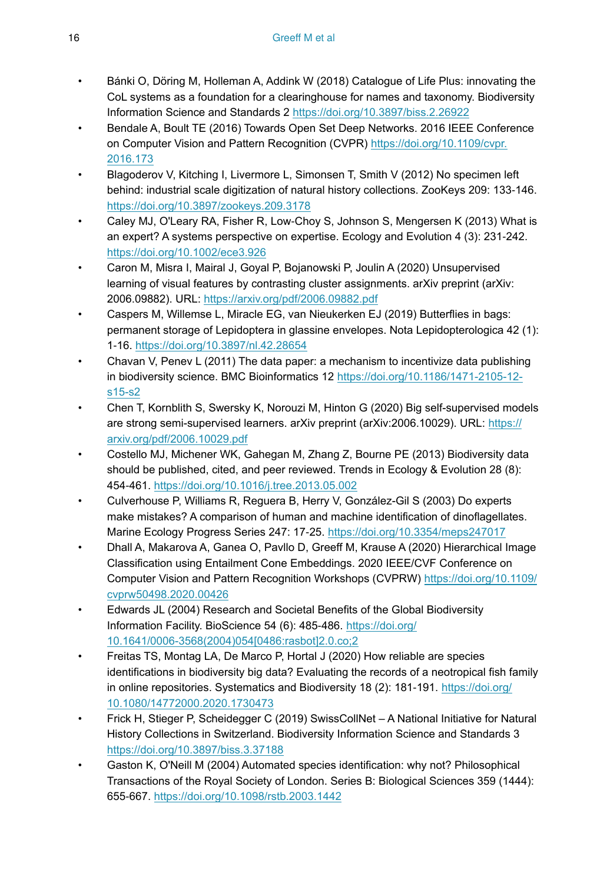- <span id="page-15-10"></span>• Bánki O, Döring M, Holleman A, Addink W (2018) Catalogue of Life Plus: innovating the CoL systems as a foundation for a clearinghouse for names and taxonomy. Biodiversity Information Science and Standards 2 <https://doi.org/10.3897/biss.2.26922>
- <span id="page-15-14"></span>• Bendale A, Boult TE (2016) Towards Open Set Deep Networks. 2016 IEEE Conference on Computer Vision and Pattern Recognition (CVPR) [https://doi.org/10.1109/cvpr.](https://doi.org/10.1109/cvpr.2016.173) [2016.173](https://doi.org/10.1109/cvpr.2016.173)
- <span id="page-15-12"></span>• Blagoderov V, Kitching I, Livermore L, Simonsen T, Smith V (2012) No specimen left behind: industrial scale digitization of natural history collections. ZooKeys 209: 133-146. <https://doi.org/10.3897/zookeys.209.3178>
- <span id="page-15-11"></span>• Caley MJ, O'Leary RA, Fisher R, Low‐Choy S, Johnson S, Mengersen K (2013) What is an expert? A systems perspective on expertise. Ecology and Evolution 4 (3): 231‑242. <https://doi.org/10.1002/ece3.926>
- <span id="page-15-7"></span>• Caron M, Misra I, Mairal J, Goyal P, Bojanowski P, Joulin A (2020) Unsupervised learning of visual features by contrasting cluster assignments. arXiv preprint (arXiv: 2006.09882). URL:<https://arxiv.org/pdf/2006.09882.pdf>
- <span id="page-15-13"></span>• Caspers M, Willemse L, Miracle EG, van Nieukerken EJ (2019) Butterflies in bags: permanent storage of Lepidoptera in glassine envelopes. Nota Lepidopterologica 42 (1): 1‑16.<https://doi.org/10.3897/nl.42.28654>
- <span id="page-15-8"></span>• Chavan V, Penev L (2011) The data paper: a mechanism to incentivize data publishing in biodiversity science. BMC Bioinformatics 12 [https://doi.org/10.1186/1471-2105-12](https://doi.org/10.1186/1471-2105-12-s15-s2) [s15-s2](https://doi.org/10.1186/1471-2105-12-s15-s2)
- <span id="page-15-6"></span>• Chen T, Kornblith S, Swersky K, Norouzi M, Hinton G (2020) Big self-supervised models are strong semi-supervised learners. arXiv preprint (arXiv:2006.10029). URL: [https://](https://arxiv.org/pdf/2006.10029.pdf) [arxiv.org/pdf/2006.10029.pdf](https://arxiv.org/pdf/2006.10029.pdf)
- <span id="page-15-9"></span>• Costello MJ, Michener WK, Gahegan M, Zhang Z, Bourne PE (2013) Biodiversity data should be published, cited, and peer reviewed. Trends in Ecology & Evolution 28 (8): 454‑461. <https://doi.org/10.1016/j.tree.2013.05.002>
- <span id="page-15-3"></span>• Culverhouse P, Williams R, Reguera B, Herry V, González-Gil S (2003) Do experts make mistakes? A comparison of human and machine identification of dinoflagellates. Marine Ecology Progress Series 247: 17‑25. <https://doi.org/10.3354/meps247017>
- <span id="page-15-2"></span>• Dhall A, Makarova A, Ganea O, Pavllo D, Greeff M, Krause A (2020) Hierarchical Image Classification using Entailment Cone Embeddings. 2020 IEEE/CVF Conference on Computer Vision and Pattern Recognition Workshops (CVPRW) [https://doi.org/10.1109/](https://doi.org/10.1109/cvprw50498.2020.00426) [cvprw50498.2020.00426](https://doi.org/10.1109/cvprw50498.2020.00426)
- <span id="page-15-5"></span>• Edwards JL (2004) Research and Societal Benefits of the Global Biodiversity Information Facility. BioScience 54 (6): 485‑486. [https://doi.org/](https://doi.org/10.1641/0006-3568(2004)054%5B0486:rasbot%5D2.0.co;2) [10.1641/0006-3568\(2004\)054\[0486:rasbot\]2.0.co;2](https://doi.org/10.1641/0006-3568(2004)054%5B0486:rasbot%5D2.0.co;2)
- <span id="page-15-4"></span>• Freitas TS, Montag LA, De Marco P, Hortal J (2020) How reliable are species identifications in biodiversity big data? Evaluating the records of a neotropical fish family in online repositories. Systematics and Biodiversity 18 (2): 181-191. [https://doi.org/](https://doi.org/10.1080/14772000.2020.1730473) [10.1080/14772000.2020.1730473](https://doi.org/10.1080/14772000.2020.1730473)
- <span id="page-15-1"></span>• Frick H, Stieger P, Scheidegger C (2019) SwissCollNet – A National Initiative for Natural History Collections in Switzerland. Biodiversity Information Science and Standards 3 <https://doi.org/10.3897/biss.3.37188>
- <span id="page-15-0"></span>• Gaston K, O'Neill M (2004) Automated species identification: why not? Philosophical Transactions of the Royal Society of London. Series B: Biological Sciences 359 (1444): 655‑667. <https://doi.org/10.1098/rstb.2003.1442>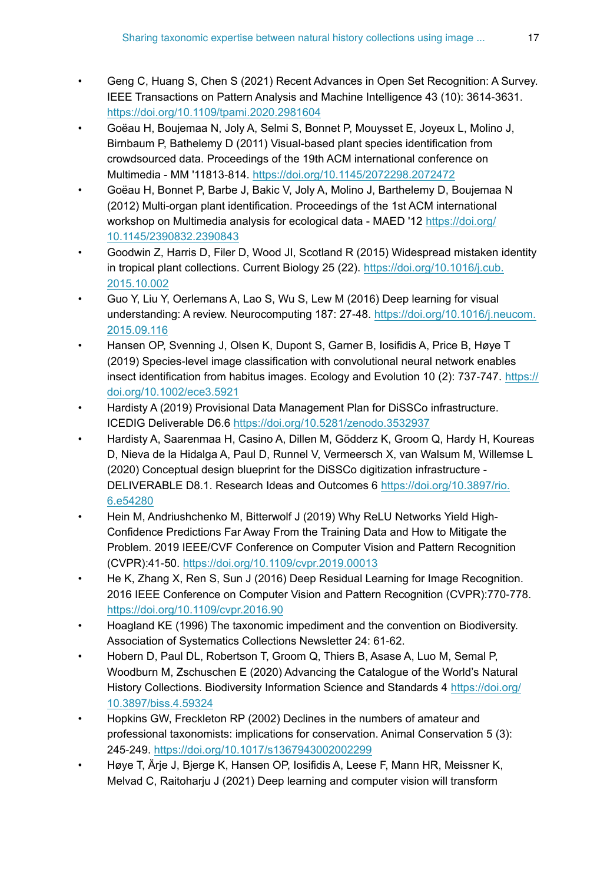- <span id="page-16-13"></span>• Geng C, Huang S, Chen S (2021) Recent Advances in Open Set Recognition: A Survey. IEEE Transactions on Pattern Analysis and Machine Intelligence 43 (10): 3614‑3631. <https://doi.org/10.1109/tpami.2020.2981604>
- <span id="page-16-10"></span>• Goëau H, Boujemaa N, Joly A, Selmi S, Bonnet P, Mouysset E, Joyeux L, Molino J, Birnbaum P, Bathelemy D (2011) Visual-based plant species identification from crowdsourced data. Proceedings of the 19th ACM international conference on Multimedia - MM '11813‑814. <https://doi.org/10.1145/2072298.2072472>
- <span id="page-16-11"></span>• Goëau H, Bonnet P, Barbe J, Bakic V, Joly A, Molino J, Barthelemy D, Boujemaa N (2012) Multi-organ plant identification. Proceedings of the 1st ACM international workshop on Multimedia analysis for ecological data - MAED '12 [https://doi.org/](https://doi.org/10.1145/2390832.2390843) [10.1145/2390832.2390843](https://doi.org/10.1145/2390832.2390843)
- <span id="page-16-7"></span>• Goodwin Z, Harris D, Filer D, Wood JI, Scotland R (2015) Widespread mistaken identity in tropical plant collections. Current Biology 25 (22). [https://doi.org/10.1016/j.cub.](https://doi.org/10.1016/j.cub.2015.10.002) [2015.10.002](https://doi.org/10.1016/j.cub.2015.10.002)
- <span id="page-16-8"></span>• Guo Y, Liu Y, Oerlemans A, Lao S, Wu S, Lew M (2016) Deep learning for visual understanding: A review. Neurocomputing 187: 27‑48. [https://doi.org/10.1016/j.neucom.](https://doi.org/10.1016/j.neucom.2015.09.116) [2015.09.116](https://doi.org/10.1016/j.neucom.2015.09.116)
- <span id="page-16-6"></span>• Hansen OP, Svenning J, Olsen K, Dupont S, Garner B, Iosifidis A, Price B, Høye T (2019) Species‐level image classification with convolutional neural network enables insect identification from habitus images. Ecology and Evolution 10 (2): 737-747. [https://](https://doi.org/10.1002/ece3.5921) [doi.org/10.1002/ece3.5921](https://doi.org/10.1002/ece3.5921)
- <span id="page-16-4"></span>• Hardisty A (2019) Provisional Data Management Plan for DiSSCo infrastructure. ICEDIG Deliverable D6.6 <https://doi.org/10.5281/zenodo.3532937>
- <span id="page-16-3"></span>• Hardisty A, Saarenmaa H, Casino A, Dillen M, Gödderz K, Groom Q, Hardy H, Koureas D, Nieva de la Hidalga A, Paul D, Runnel V, Vermeersch X, van Walsum M, Willemse L (2020) Conceptual design blueprint for the DiSSCo digitization infrastructure - DELIVERABLE D8.1. Research Ideas and Outcomes 6 [https://doi.org/10.3897/rio.](https://doi.org/10.3897/rio.6.e54280) [6.e54280](https://doi.org/10.3897/rio.6.e54280)
- <span id="page-16-12"></span>• Hein M, Andriushchenko M, Bitterwolf J (2019) Why ReLU Networks Yield High-Confidence Predictions Far Away From the Training Data and How to Mitigate the Problem. 2019 IEEE/CVF Conference on Computer Vision and Pattern Recognition (CVPR):41‑50. <https://doi.org/10.1109/cvpr.2019.00013>
- <span id="page-16-9"></span>• He K, Zhang X, Ren S, Sun J (2016) Deep Residual Learning for Image Recognition. 2016 IEEE Conference on Computer Vision and Pattern Recognition (CVPR):770-778. <https://doi.org/10.1109/cvpr.2016.90>
- <span id="page-16-1"></span>• Hoagland KE (1996) The taxonomic impediment and the convention on Biodiversity. Association of Systematics Collections Newsletter 24: 61‑62.
- <span id="page-16-0"></span>• Hobern D, Paul DL, Robertson T, Groom Q, Thiers B, Asase A, Luo M, Semal P, Woodburn M, Zschuschen E (2020) Advancing the Catalogue of the World's Natural History Collections. Biodiversity Information Science and Standards 4 [https://doi.org/](https://doi.org/10.3897/biss.4.59324) [10.3897/biss.4.59324](https://doi.org/10.3897/biss.4.59324)
- <span id="page-16-2"></span>• Hopkins GW, Freckleton RP (2002) Declines in the numbers of amateur and professional taxonomists: implications for conservation. Animal Conservation 5 (3): 245‑249. <https://doi.org/10.1017/s1367943002002299>
- <span id="page-16-5"></span>• Høye T, Ärje J, Bjerge K, Hansen OP, Iosifidis A, Leese F, Mann HR, Meissner K, Melvad C, Raitoharju J (2021) Deep learning and computer vision will transform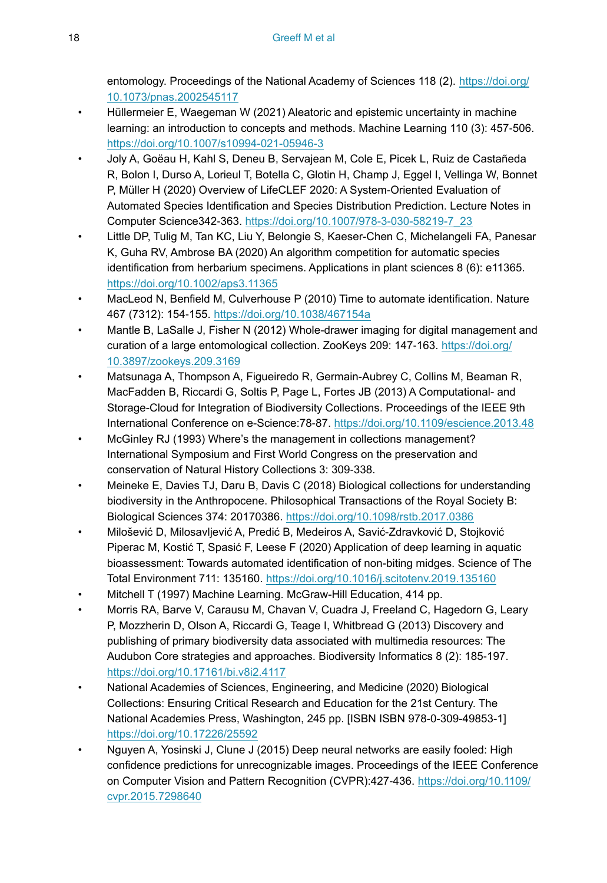entomology. Proceedings of the National Academy of Sciences 118 (2). [https://doi.org/](https://doi.org/10.1073/pnas.2002545117) [10.1073/pnas.2002545117](https://doi.org/10.1073/pnas.2002545117)

- <span id="page-17-9"></span>• Hüllermeier E, Waegeman W (2021) Aleatoric and epistemic uncertainty in machine learning: an introduction to concepts and methods. Machine Learning 110 (3): 457‑506. <https://doi.org/10.1007/s10994-021-05946-3>
- <span id="page-17-11"></span>• Joly A, Goëau H, Kahl S, Deneu B, Servajean M, Cole E, Picek L, Ruiz de Castañeda R, Bolon I, Durso A, Lorieul T, Botella C, Glotin H, Champ J, Eggel I, Vellinga W, Bonnet P, Müller H (2020) Overview of LifeCLEF 2020: A System-Oriented Evaluation of Automated Species Identification and Species Distribution Prediction. Lecture Notes in Computer Science342‑363. [https://doi.org/10.1007/978-3-030-58219-7\\_23](https://doi.org/10.1007/978-3-030-58219-7_23)
- <span id="page-17-12"></span>• Little DP, Tulig M, Tan KC, Liu Y, Belongie S, Kaeser-Chen C, Michelangeli FA, Panesar K, Guha RV, Ambrose BA (2020) An algorithm competition for automatic species identification from herbarium specimens. Applications in plant sciences 8 (6): e11365. <https://doi.org/10.1002/aps3.11365>
- <span id="page-17-3"></span>• MacLeod N, Benfield M, Culverhouse P (2010) Time to automate identification. Nature 467 (7312): 154‑155. <https://doi.org/10.1038/467154a>
- <span id="page-17-7"></span>• Mantle B, LaSalle J, Fisher N (2012) Whole-drawer imaging for digital management and curation of a large entomological collection. ZooKeys 209: 147-163. [https://doi.org/](https://doi.org/10.3897/zookeys.209.3169) [10.3897/zookeys.209.3169](https://doi.org/10.3897/zookeys.209.3169)
- <span id="page-17-5"></span>• Matsunaga A, Thompson A, Figueiredo R, Germain-Aubrey C, Collins M, Beaman R, MacFadden B, Riccardi G, Soltis P, Page L, Fortes JB (2013) A Computational- and Storage-Cloud for Integration of Biodiversity Collections. Proceedings of the IEEE 9th International Conference on e-Science:78‑87.<https://doi.org/10.1109/escience.2013.48>
- <span id="page-17-2"></span>• McGinley RJ (1993) Where's the management in collections management? International Symposium and First World Congress on the preservation and conservation of Natural History Collections 3: 309‑338.
- <span id="page-17-1"></span>• Meineke E, Davies TJ, Daru B, Davis C (2018) Biological collections for understanding biodiversity in the Anthropocene. Philosophical Transactions of the Royal Society B: Biological Sciences 374: 20170386.<https://doi.org/10.1098/rstb.2017.0386>
- <span id="page-17-6"></span>• Milošević D, Milosavljević A, Predić B, Medeiros A, Savić-Zdravković D, Stojković Piperac M, Kostić T, Spasić F, Leese F (2020) Application of deep learning in aquatic bioassessment: Towards automated identification of non-biting midges. Science of The Total Environment 711: 135160. <https://doi.org/10.1016/j.scitotenv.2019.135160>
- <span id="page-17-4"></span>• Mitchell T (1997) Machine Learning. McGraw-Hill Education, 414 pp.
- <span id="page-17-10"></span>• Morris RA, Barve V, Carausu M, Chavan V, Cuadra J, Freeland C, Hagedorn G, Leary P, Mozzherin D, Olson A, Riccardi G, Teage I, Whitbread G (2013) Discovery and publishing of primary biodiversity data associated with multimedia resources: The Audubon Core strategies and approaches. Biodiversity Informatics 8 (2): 185-197. <https://doi.org/10.17161/bi.v8i2.4117>
- <span id="page-17-0"></span>• National Academies of Sciences, Engineering, and Medicine (2020) Biological Collections: Ensuring Critical Research and Education for the 21st Century. The National Academies Press, Washington, 245 pp. [ISBN ISBN 978-0-309-49853-1] <https://doi.org/10.17226/25592>
- <span id="page-17-8"></span>• Nguyen A, Yosinski J, Clune J (2015) Deep neural networks are easily fooled: High confidence predictions for unrecognizable images. Proceedings of the IEEE Conference on Computer Vision and Pattern Recognition (CVPR):427‑436. [https://doi.org/10.1109/](https://doi.org/10.1109/cvpr.2015.7298640) [cvpr.2015.7298640](https://doi.org/10.1109/cvpr.2015.7298640)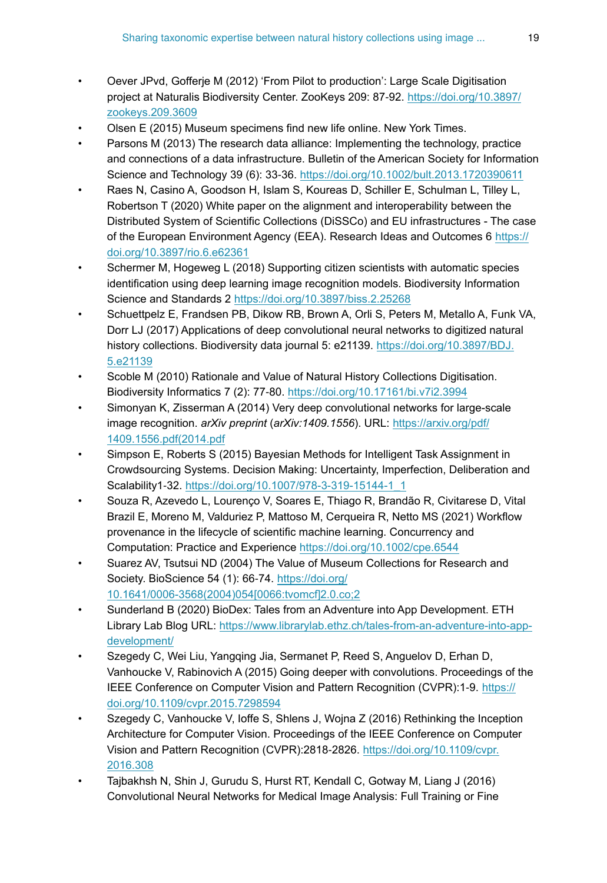- <span id="page-18-13"></span>• Oever JPvd, Gofferje M (2012) 'From Pilot to production': Large Scale Digitisation project at Naturalis Biodiversity Center. ZooKeys 209: 87-92. [https://doi.org/10.3897/](https://doi.org/10.3897/zookeys.209.3609) [zookeys.209.3609](https://doi.org/10.3897/zookeys.209.3609)
- <span id="page-18-11"></span>• Olsen E (2015) Museum specimens find new life online. New York Times.
- <span id="page-18-9"></span>• Parsons M (2013) The research data alliance: Implementing the technology, practice and connections of a data infrastructure. Bulletin of the American Society for Information Science and Technology 39 (6): 33‑36. <https://doi.org/10.1002/bult.2013.1720390611>
- <span id="page-18-1"></span>• Raes N, Casino A, Goodson H, Islam S, Koureas D, Schiller E, Schulman L, Tilley L, Robertson T (2020) White paper on the alignment and interoperability between the Distributed System of Scientific Collections (DiSSCo) and EU infrastructures - The case of the European Environment Agency (EEA). Research Ideas and Outcomes 6 [https://](https://doi.org/10.3897/rio.6.e62361) [doi.org/10.3897/rio.6.e62361](https://doi.org/10.3897/rio.6.e62361)
- <span id="page-18-14"></span>• Schermer M, Hogeweg L (2018) Supporting citizen scientists with automatic species identification using deep learning image recognition models. Biodiversity Information Science and Standards 2<https://doi.org/10.3897/biss.2.25268>
- <span id="page-18-3"></span>• Schuettpelz E, Frandsen PB, Dikow RB, Brown A, Orli S, Peters M, Metallo A, Funk VA, Dorr LJ (2017) Applications of deep convolutional neural networks to digitized natural history collections. Biodiversity data journal 5: e21139. [https://doi.org/10.3897/BDJ.](https://doi.org/10.3897/BDJ.5.e21139) [5.e21139](https://doi.org/10.3897/BDJ.5.e21139)
- <span id="page-18-12"></span>• Scoble M (2010) Rationale and Value of Natural History Collections Digitisation. Biodiversity Informatics 7 (2): 77‑80. <https://doi.org/10.17161/bi.v7i2.3994>
- <span id="page-18-6"></span>• Simonyan K, Zisserman A (2014) Very deep convolutional networks for large-scale image recognition. *arXiv preprint* (*arXiv:1409.1556*). URL: [https://arxiv.org/pdf/](https://arxiv.org/pdf/1409.1556.pdf(2014.pdf) [1409.1556.pdf\(2014.pdf](https://arxiv.org/pdf/1409.1556.pdf(2014.pdf)
- <span id="page-18-10"></span>• Simpson E, Roberts S (2015) Bayesian Methods for Intelligent Task Assignment in Crowdsourcing Systems. Decision Making: Uncertainty, Imperfection, Deliberation and Scalability1‑32. [https://doi.org/10.1007/978-3-319-15144-1\\_1](https://doi.org/10.1007/978-3-319-15144-1_1)
- <span id="page-18-4"></span>• Souza R, Azevedo L, Lourenço V, Soares E, Thiago R, Brandão R, Civitarese D, Vital Brazil E, Moreno M, Valduriez P, Mattoso M, Cerqueira R, Netto MS (2021) Workflow provenance in the lifecycle of scientific machine learning. Concurrency and Computation: Practice and Experience <https://doi.org/10.1002/cpe.6544>
- <span id="page-18-0"></span>• Suarez AV, Tsutsui ND (2004) The Value of Museum Collections for Research and Society. BioScience 54 (1): 66-74. [https://doi.org/](https://doi.org/10.1641/0006-3568(2004)054%5B0066:tvomcf%5D2.0.co;2) [10.1641/0006-3568\(2004\)054\[0066:tvomcf\]2.0.co;2](https://doi.org/10.1641/0006-3568(2004)054%5B0066:tvomcf%5D2.0.co;2)
- <span id="page-18-2"></span>• Sunderland B (2020) BioDex: Tales from an Adventure into App Development. ETH Library Lab Blog URL: [https://www.librarylab.ethz.ch/tales-from-an-adventure-into-app](https://www.librarylab.ethz.ch/tales-from-an-adventure-into-app-development/)[development/](https://www.librarylab.ethz.ch/tales-from-an-adventure-into-app-development/)
- <span id="page-18-5"></span>• Szegedy C, Wei Liu, Yangqing Jia, Sermanet P, Reed S, Anguelov D, Erhan D, Vanhoucke V, Rabinovich A (2015) Going deeper with convolutions. Proceedings of the IEEE Conference on Computer Vision and Pattern Recognition (CVPR):1‑9. [https://](https://doi.org/10.1109/cvpr.2015.7298594) [doi.org/10.1109/cvpr.2015.7298594](https://doi.org/10.1109/cvpr.2015.7298594)
- <span id="page-18-7"></span>• Szegedy C, Vanhoucke V, Ioffe S, Shlens J, Wojna Z (2016) Rethinking the Inception Architecture for Computer Vision. Proceedings of the IEEE Conference on Computer Vision and Pattern Recognition (CVPR):2818‑2826. [https://doi.org/10.1109/cvpr.](https://doi.org/10.1109/cvpr.2016.308) [2016.308](https://doi.org/10.1109/cvpr.2016.308)
- <span id="page-18-8"></span>• Tajbakhsh N, Shin J, Gurudu S, Hurst RT, Kendall C, Gotway M, Liang J (2016) Convolutional Neural Networks for Medical Image Analysis: Full Training or Fine